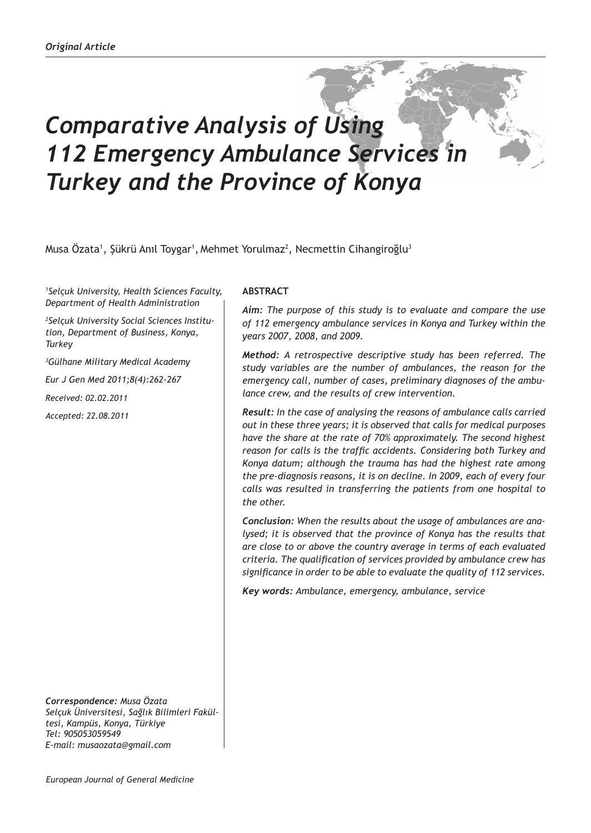# *Comparative Analysis of Using 112 Emergency Ambulance Services in Turkey and the Province of Konya*

Musa Özata<sup>1</sup>, Şükrü Anıl Toygar<sup>1</sup>, Mehmet Yorulmaz<sup>2</sup>, Necmettin Cihangiroğlu<sup>3</sup>

*1 Selçuk University, Health Sciences Faculty, Department of Health Administration*

*2 Selçuk University Social Sciences Institution, Department of Business, Konya, Turkey*

*3 Gülhane Military Medical Academy*

*Eur J Gen Med 2011;8(4):262-267*

*Received: 02.02.2011*

*Accepted: 22.08.2011*

*Correspondence: Musa Özata Selçuk Üniversitesi, Sağlık Bilimleri Fakültesi, Kampüs, Konya, Türkiye Tel: 905053059549 E-mail: musaozata@gmail.com*

## **ABSTRACT**

*Aim: The purpose of this study is to evaluate and compare the use of 112 emergency ambulance services in Konya and Turkey within the years 2007, 2008, and 2009.* 

*Method: A retrospective descriptive study has been referred. The study variables are the number of ambulances, the reason for the emergency call, number of cases, preliminary diagnoses of the ambulance crew, and the results of crew intervention.*

*Result: In the case of analysing the reasons of ambulance calls carried out in these three years; it is observed that calls for medical purposes have the share at the rate of 70% approximately. The second highest reason for calls is the traffic accidents. Considering both Turkey and Konya datum; although the trauma has had the highest rate among the pre-diagnosis reasons, it is on decline. In 2009, each of every four calls was resulted in transferring the patients from one hospital to the other.*

*Conclusion: When the results about the usage of ambulances are analysed; it is observed that the province of Konya has the results that are close to or above the country average in terms of each evaluated criteria. The qualification of services provided by ambulance crew has significance in order to be able to evaluate the quality of 112 services.*

*Key words: Ambulance, emergency, ambulance, service*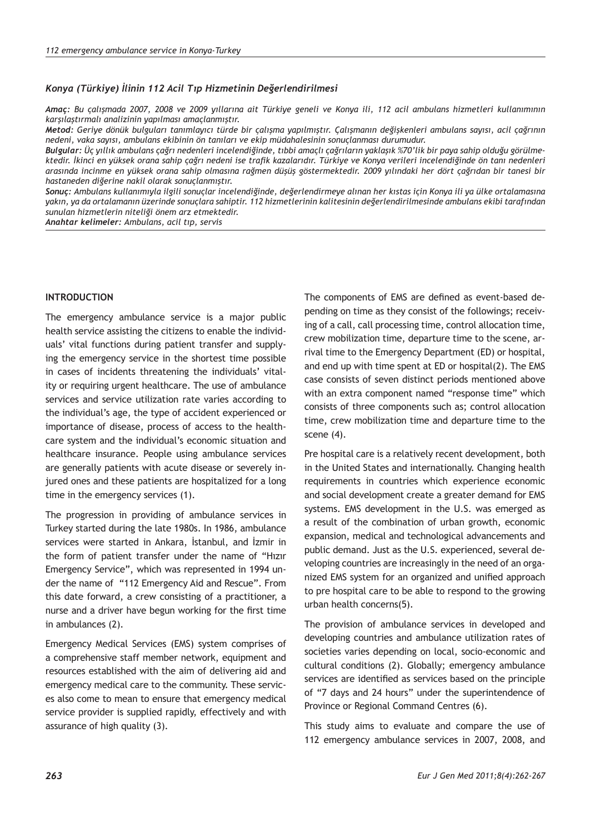#### *Konya (Türkiye) İlinin 112 Acil Tıp Hizmetinin Değerlendirilmesi*

*Amaç: Bu çalışmada 2007, 2008 ve 2009 yıllarına ait Türkiye geneli ve Konya ili, 112 acil ambulans hizmetleri kullanımının karşılaştırmalı analizinin yapılması amaçlanmıştır.*

*Metod: Geriye dönük bulguları tanımlayıcı türde bir çalışma yapılmıştır. Çalışmanın değişkenleri ambulans sayısı, acil çağrının nedeni, vaka sayısı, ambulans ekibinin ön tanıları ve ekip müdahalesinin sonuçlanması durumudur.* 

*Bulgular: Üç yıllık ambulans çağrı nedenleri incelendiğinde, tıbbi amaçlı çağrıların yaklaşık %70'lik bir paya sahip olduğu görülmektedir. İkinci en yüksek orana sahip çağrı nedeni ise trafik kazalarıdır. Türkiye ve Konya verileri incelendiğinde ön tanı nedenleri arasında incinme en yüksek orana sahip olmasına rağmen düşüş göstermektedir. 2009 yılındaki her dört çağrıdan bir tanesi bir hastaneden diğerine nakil olarak sonuçlanmıştır.*

*Sonuç: Ambulans kullanımıyla ilgili sonuçlar incelendiğinde, değerlendirmeye alınan her kıstas için Konya ili ya ülke ortalamasına yakın, ya da ortalamanın üzerinde sonuçlara sahiptir. 112 hizmetlerinin kalitesinin değerlendirilmesinde ambulans ekibi tarafından sunulan hizmetlerin niteliği önem arz etmektedir.* 

*Anahtar kelimeler: Ambulans, acil tıp, servis*

# **INTRODUCTION**

The emergency ambulance service is a major public health service assisting the citizens to enable the individuals' vital functions during patient transfer and supplying the emergency service in the shortest time possible in cases of incidents threatening the individuals' vitality or requiring urgent healthcare. The use of ambulance services and service utilization rate varies according to the individual's age, the type of accident experienced or importance of disease, process of access to the healthcare system and the individual's economic situation and healthcare insurance. People using ambulance services are generally patients with acute disease or severely injured ones and these patients are hospitalized for a long time in the emergency services (1).

The progression in providing of ambulance services in Turkey started during the late 1980s. In 1986, ambulance services were started in Ankara, İstanbul, and İzmir in the form of patient transfer under the name of "Hızır Emergency Service", which was represented in 1994 under the name of "112 Emergency Aid and Rescue". From this date forward, a crew consisting of a practitioner, a nurse and a driver have begun working for the first time in ambulances (2).

Emergency Medical Services (EMS) system comprises of a comprehensive staff member network, equipment and resources established with the aim of delivering aid and emergency medical care to the community. These services also come to mean to ensure that emergency medical service provider is supplied rapidly, effectively and with assurance of high quality (3).

The components of EMS are defined as event-based depending on time as they consist of the followings; receiving of a call, call processing time, control allocation time, crew mobilization time, departure time to the scene, arrival time to the Emergency Department (ED) or hospital, and end up with time spent at ED or hospital(2). The EMS case consists of seven distinct periods mentioned above with an extra component named "response time" which consists of three components such as; control allocation time, crew mobilization time and departure time to the scene (4).

Pre hospital care is a relatively recent development, both in the United States and internationally. Changing health requirements in countries which experience economic and social development create a greater demand for EMS systems. EMS development in the U.S. was emerged as a result of the combination of urban growth, economic expansion, medical and technological advancements and public demand. Just as the U.S. experienced, several developing countries are increasingly in the need of an organized EMS system for an organized and unified approach to pre hospital care to be able to respond to the growing urban health concerns(5).

The provision of ambulance services in developed and developing countries and ambulance utilization rates of societies varies depending on local, socio-economic and cultural conditions (2). Globally; emergency ambulance services are identified as services based on the principle of "7 days and 24 hours" under the superintendence of Province or Regional Command Centres (6).

This study aims to evaluate and compare the use of 112 emergency ambulance services in 2007, 2008, and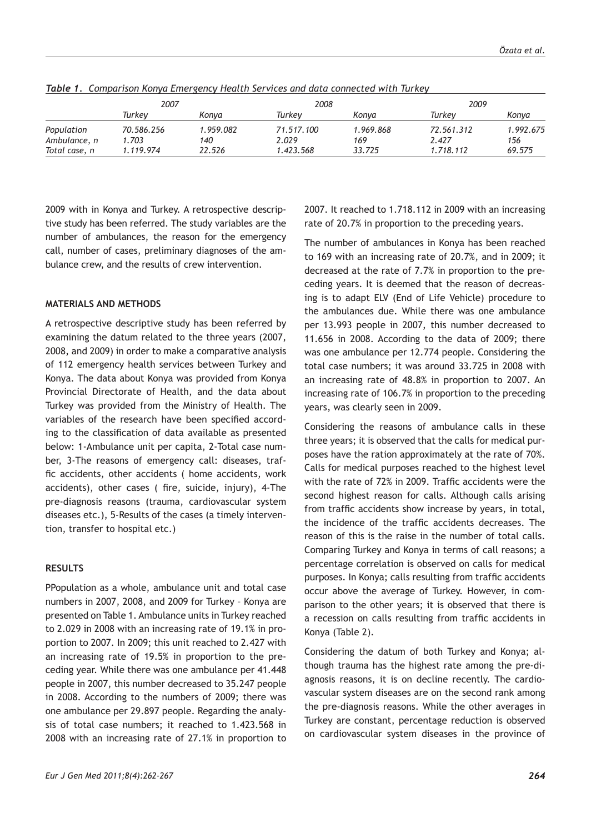|               | 2007       |           | 2008       |           | 2009       |           |
|---------------|------------|-----------|------------|-----------|------------|-----------|
|               | Turkev     | Konva     | Turkev     | Konva     | Turkev     | Konya     |
| Population    | 70.586.256 | 1.959.082 | 71.517.100 | 1.969.868 | 72.561.312 | 1.992.675 |
| Ambulance, n  | 1.703      | 140       | 2.029      | 169       | 2.427      | 156       |
| Total case, n | 1.119.974  | 22.526    | 1.423.568  | 33.725    | 1.718.112  | 69.575    |

*Table 1. Comparison Konya Emergency Health Services and data connected with Turkey*

2009 with in Konya and Turkey. A retrospective descriptive study has been referred. The study variables are the number of ambulances, the reason for the emergency call, number of cases, preliminary diagnoses of the ambulance crew, and the results of crew intervention.

# **MATERIALS AND METHODS**

A retrospective descriptive study has been referred by examining the datum related to the three years (2007, 2008, and 2009) in order to make a comparative analysis of 112 emergency health services between Turkey and Konya. The data about Konya was provided from Konya Provincial Directorate of Health, and the data about Turkey was provided from the Ministry of Health. The variables of the research have been specified according to the classification of data available as presented below: 1-Ambulance unit per capita, 2-Total case number, 3-The reasons of emergency call: diseases, traffic accidents, other accidents ( home accidents, work accidents), other cases ( fire, suicide, injury), 4-The pre-diagnosis reasons (trauma, cardiovascular system diseases etc.), 5-Results of the cases (a timely intervention, transfer to hospital etc.)

## **RESULTS**

PPopulation as a whole, ambulance unit and total case numbers in 2007, 2008, and 2009 for Turkey – Konya are presented on Table 1. Ambulance units in Turkey reached to 2.029 in 2008 with an increasing rate of 19.1% in proportion to 2007. In 2009; this unit reached to 2.427 with an increasing rate of 19.5% in proportion to the preceding year. While there was one ambulance per 41.448 people in 2007, this number decreased to 35.247 people in 2008. According to the numbers of 2009; there was one ambulance per 29.897 people. Regarding the analysis of total case numbers; it reached to 1.423.568 in 2008 with an increasing rate of 27.1% in proportion to

2007. It reached to 1.718.112 in 2009 with an increasing rate of 20.7% in proportion to the preceding years.

The number of ambulances in Konya has been reached to 169 with an increasing rate of 20.7%, and in 2009; it decreased at the rate of 7.7% in proportion to the preceding years. It is deemed that the reason of decreasing is to adapt ELV (End of Life Vehicle) procedure to the ambulances due. While there was one ambulance per 13.993 people in 2007, this number decreased to 11.656 in 2008. According to the data of 2009; there was one ambulance per 12.774 people. Considering the total case numbers; it was around 33.725 in 2008 with an increasing rate of 48.8% in proportion to 2007. An increasing rate of 106.7% in proportion to the preceding years, was clearly seen in 2009.

Considering the reasons of ambulance calls in these three years; it is observed that the calls for medical purposes have the ration approximately at the rate of 70%. Calls for medical purposes reached to the highest level with the rate of 72% in 2009. Traffic accidents were the second highest reason for calls. Although calls arising from traffic accidents show increase by years, in total, the incidence of the traffic accidents decreases. The reason of this is the raise in the number of total calls. Comparing Turkey and Konya in terms of call reasons; a percentage correlation is observed on calls for medical purposes. In Konya; calls resulting from traffic accidents occur above the average of Turkey. However, in comparison to the other years; it is observed that there is a recession on calls resulting from traffic accidents in Konya (Table 2).

Considering the datum of both Turkey and Konya; although trauma has the highest rate among the pre-diagnosis reasons, it is on decline recently. The cardiovascular system diseases are on the second rank among the pre-diagnosis reasons. While the other averages in Turkey are constant, percentage reduction is observed on cardiovascular system diseases in the province of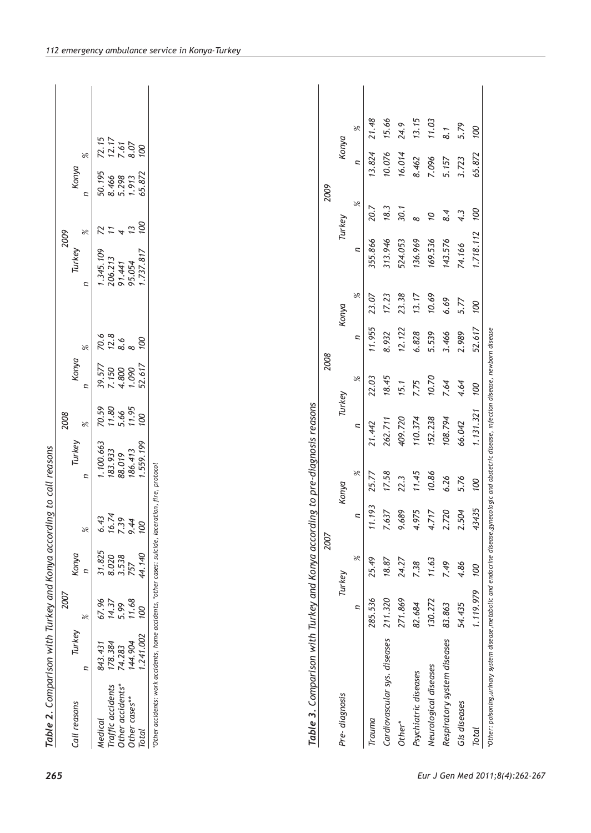| Table 2. Comparison with Turkey and Konya according to call reasons |          |               |                                |                |           |                                                       |                |               |               |                |                |                         |                                        |  |
|---------------------------------------------------------------------|----------|---------------|--------------------------------|----------------|-----------|-------------------------------------------------------|----------------|---------------|---------------|----------------|----------------|-------------------------|----------------------------------------|--|
|                                                                     |          | 2007          |                                |                |           | 2008                                                  |                |               |               | 2009           |                |                         |                                        |  |
| Call reasons                                                        | Turkey   |               | Konya                          |                | Turkey    |                                                       | Konya          |               |               | Turkey         |                | Konya                   |                                        |  |
|                                                                     | Ξ        | $\frac{6}{6}$ | $\overline{a}$                 | $\frac{6}{5}$  | Ξ         | $\frac{8}{6}$                                         | Ξ              | $\frac{8}{6}$ | Ξ             |                | Ξ<br>$\gtrsim$ | $\frac{6}{5}$           |                                        |  |
| Medical                                                             | 843.43   | 67.96         | $31.825$<br>$8.020$<br>$3.538$ | 6.43           | 1.100.663 | 70.59                                                 | 39.577         |               |               | 1.345.109      | $R = 4$        | 50.195                  | $72.15$<br>$72.17$<br>$7.61$<br>$8.07$ |  |
| Traffic accidents                                                   | 178.384  | 14.37         |                                | 16.74          | 183.933   |                                                       |                |               |               | 206.213        |                |                         |                                        |  |
| Other accidents*                                                    | 74.283   | 5.99          |                                | 7.39           | 88.019    | $\begin{array}{c} 11.80 \\ 5.66 \\ 11.95 \end{array}$ | 7.150<br>4.800 |               |               | 91.441         |                | 8.466<br>5.298<br>1.913 |                                        |  |
| Other cases**                                                       | 144.904  | 11.68         | 757                            | 9.44           | 186.413   |                                                       | 1.090          |               |               | 95.054         | $\tilde{c}$    |                         |                                        |  |
| Total                                                               | .241.002 | 00            | 44.140                         | 00             | 1.559.199 | 00                                                    | 52.617         | 00            |               | 1.737.817      | OO             | 100<br>65.872           |                                        |  |
|                                                                     |          |               |                                | 2007           |           |                                                       | 2008           |               |               |                | 2009           |                         |                                        |  |
| Pre-diagnosis                                                       |          |               | Turkey                         |                | Konya     | Turkey                                                |                |               | Konya         |                | Turkey         |                         | Konya                                  |  |
|                                                                     |          | ς             | $\approx$                      | $\overline{a}$ | $\gtrsim$ | Ξ                                                     | $\frac{6}{5}$  | Ξ             | $\frac{6}{5}$ | $\overline{a}$ | $\frac{6}{5}$  | $\overline{z}$          | $\gtrsim$                              |  |
|                                                                     |          |               |                                |                |           |                                                       |                |               |               |                |                |                         |                                        |  |
| Trauma                                                              |          | 285.536       | 25.49                          | 11.193         | 25.77     | 21.442                                                | 22.03          | 11.955        | 23.07         | 355.866        | 20.7           | 13.824                  | 21.48                                  |  |
| Cardiovascular sys. diseases                                        |          | 211.320       | 18.87                          | 7.637          | 17.58     | 262.711                                               | 18.45          | 8.932         | 17.23         | 313.946        | 18.3           | 10.076                  | 15.66                                  |  |
| Other*                                                              |          | 271.869       | 24.27                          | 9.689          | 22.3      | 409.720                                               | 15.1           | 12.122        | 23.38         | 524.053        | 30.1           | 16.014                  | 24.9                                   |  |
| Psychiatric diseases                                                |          | 82.684        | 7.38                           | 4.975          | 11.45     | 110.374                                               | 7.75           | 6.828         | 13.17         | 136.969        | $\infty$       | 8.462                   | 13.15                                  |  |
| Neurological diseases                                               |          | 130.272       | 11.63                          | 4.717          | 10.86     | 152.238                                               | 10.70          | 5.539         | 10.69         | 169.536        | Ö              | 7.096                   | 11.03                                  |  |

*\*Other: poisoning,urinary system disease,metabolic and endocrine disease,gynecologic and obstetric disease, ınfection disease, newborn disease*

"Other: poisoning,urinary system disease, metabolic and endocrine disease,gynecologic and obstetric disease, infection disease, newborn disease

*Respiratory system diseases 83.863 7.49 2.720 6.26 108.794 7.64 3.466 6.69 143.576 8.4 5.157 8.1 Gis diseases 54.435 4.86 2.504 5.76 66.042 4.64 2.989 5.77 74.166 4.3 3.723 5.79 Total 1.119.979 100 43435 100 1.131.321 100 52.617 100 1.718.112 100 65.872 100*

2.720

7.49 4.86 100

83.863 54.435

Respiratory system diseases

Gis diseases Total

5.76 6.26

108.794 66.042

5.79 8.1

5.157 3.723

8.4  $4.\overline{3}$ 

143.576 74.166

6.69 5.77 100

3.466 2.989

7.64 4.64 100

 $\overline{100}$ 

65.872

100

1.718.112

52.617

1.131.321

 $100$ 

43435 2.504

1.119.979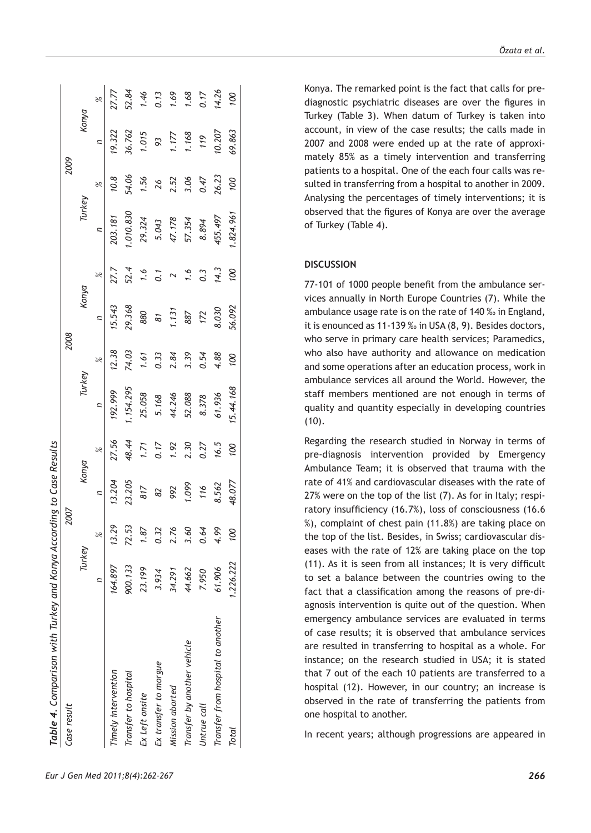| Table 4. Comparison with Turkey and Konya According to Case Results |           |               |        |               |          |       |                |                  |          |       |        |       |
|---------------------------------------------------------------------|-----------|---------------|--------|---------------|----------|-------|----------------|------------------|----------|-------|--------|-------|
| Case result                                                         |           | 2007          |        |               |          | 2008  |                |                  |          | 2009  |        |       |
|                                                                     | Turkey    |               | Konya  |               | Turkey   |       | Konya          |                  | Turkey   |       | Konya  |       |
|                                                                     | Ξ         | $\frac{8}{2}$ | ς      | $\frac{8}{5}$ |          | %     | $\overline{a}$ | 96               | Ξ        | 96    | Ξ      | ×     |
| Timely intervention                                                 | 164.897   | 13.29         | 13.204 | 27.56         | 192.999  | 12.38 | 15.543         | 27.7             | 203.181  | 10.8  | 19.322 | 17.77 |
| Transfer to hospital                                                | 900.133   | 72.53         | 23.205 | 48.44         | .154.295 | 74.03 | 29.368         | 52.4             | .010.830 | 54.06 | 36.762 | 52.84 |
| Ex Left onsite                                                      | 23.199    | $\ddot{s}$    | 817    | 1.71          | 25.058   | 1.61  | 880            | $\ddot{0}$       | 29.324   | 1.56  | 1.015  | 1.46  |
| Ex transfer to morgue                                               | 3.934     | 0.32          | 82     | 0.17          | 5.168    | 0.33  | 81             |                  | 5.043    | 26    | 93     | 0.13  |
| Mission aborted                                                     | 34.291    | 2.76          | 992    | 1.92          | 44.246   | 2.84  | 1.131          |                  | 47.178   | 2.52  | 1.177  | 1.69  |
| Transfer by another vehicle                                         | 44.662    | 3.60          | 1.099  | 2.30          | 52.088   | 3.39  | 887            | 1.6              | 57.354   | 3.06  | 1.168  | 1.68  |
| Untrue call                                                         | 7.950     | 0.64          | 116    | 0.27          | 8.378    | 0.54  | 172            | $0.\overline{3}$ | 8.894    | 0.47  | 119    | 0.17  |
| Transfer from hospital to another                                   | 61.906    | 4.99          | 8.562  | 16.5          | 61.936   | 4.88  | 8.030          | 14.3             | 155.497  | 26.23 | 10.207 | 14.26 |
| <b>Total</b>                                                        | 1.226.222 | ÖΔ            | 48.077 | 00            | 5.44.168 | 00    | 56.092         | 00               | .824.961 | 00L   | 69.863 | Øί    |
|                                                                     |           |               |        |               |          |       |                |                  |          |       |        |       |

Konya. The remarked point is the fact that calls for prediagnostic psychiatric diseases are over the figures in Turkey (Table 3). When datum of Turkey is taken into account, in view of the case results; the calls made in 2007 and 2008 were ended up at the rate of approximately 85% as a timely intervention and transferring patients to a hospital. One of the each four calls was resulted in transferring from a hospital to another in 2009. Analysing the percentages of timely interventions; it is observed that the figures of Konya are over the average of Turkey (Table 4).

## **DISCUSSION**

77-101 of 1000 people benefit from the ambulance services annually in North Europe Countries (7). While the ambulance usage rate is on the rate of 140 ‰ in England, it is enounced as 11-139 ‰ in USA (8, 9). Besides doctors, who serve in primary care health services; Paramedics, who also have authority and allowance on medication and some operations after an education process, work in ambulance services all around the World. However, the staff members mentioned are not enough in terms of quality and quantity especially in developing countries  $(10).$ 

Regarding the research studied in Norway in terms of pre-diagnosis intervention provided by Emergency Ambulance Team; it is observed that trauma with the rate of 41% and cardiovascular diseases with the rate of 27% were on the top of the list (7). As for in Italy; respiratory insufficiency (16.7%), loss of consciousness (16.6 %), complaint of chest pain (11.8%) are taking place on the top of the list. Besides, in Swiss; cardiovascular diseases with the rate of 12% are taking place on the top (11). As it is seen from all instances; It is very difficult to set a balance between the countries owing to the fact that a classification among the reasons of pre-diagnosis intervention is quite out of the question. When emergency ambulance services are evaluated in terms of case results; it is observed that ambulance services are resulted in transferring to hospital as a whole. For instance; on the research studied in USA; it is stated that 7 out of the each 10 patients are transferred to a hospital (12). However, in our country; an increase is observed in the rate of transferring the patients from one hospital to another.

In recent years; although progressions are appeared in